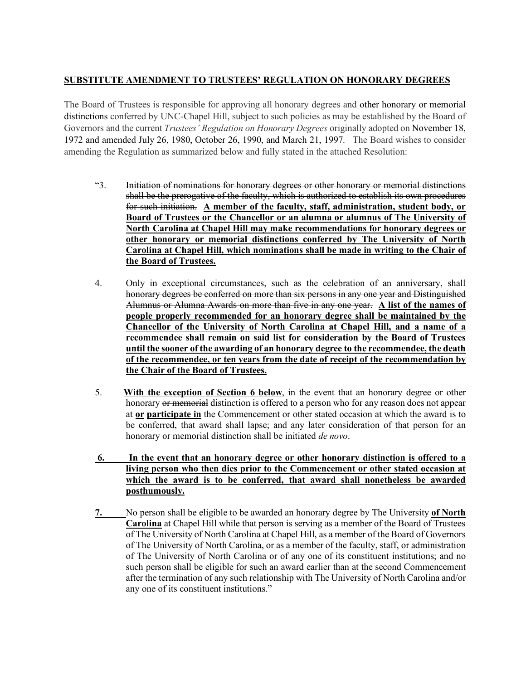## **SUBSTITUTE AMENDMENT TO TRUSTEES' REGULATION ON HONORARY DEGREES**

The Board of Trustees is responsible for approving all honorary degrees and other honorary or memorial distinctions conferred by UNC-Chapel Hill, subject to such policies as may be established by the Board of Governors and the current *Trustees' Regulation on Honorary Degrees* originally adopted on November 18, 1972 and amended July 26, 1980, October 26, 1990, and March 21, 1997. The Board wishes to consider amending the Regulation as summarized below and fully stated in the attached Resolution:

- "3. Initiation of nominations for honorary degrees or other honorary or memorial distinctions shall be the prerogative of the faculty, which is authorized to establish its own procedures for such initiation. **A member of the faculty, staff, administration, student body, or Board of Trustees or the Chancellor or an alumna or alumnus of The University of North Carolina at Chapel Hill may make recommendations for honorary degrees or other honorary or memorial distinctions conferred by The University of North Carolina at Chapel Hill, which nominations shall be made in writing to the Chair of the Board of Trustees.**
- 4. Only in exceptional circumstances, such as the celebration of an anniversary, shall honorary degrees be conferred on more than six persons in any one year and Distinguished Alumnus or Alumna Awards on more than five in any one year. **A list of the names of people properly recommended for an honorary degree shall be maintained by the Chancellor of the University of North Carolina at Chapel Hill, and a name of a recommendee shall remain on said list for consideration by the Board of Trustees until the sooner of the awarding of an honorary degree to the recommendee, the death of the recommendee, or ten years from the date of receipt of the recommendation by the Chair of the Board of Trustees.**
- 5. **With the exception of Section 6 below**, in the event that an honorary degree or other honorary or memorial distinction is offered to a person who for any reason does not appear at **or participate in** the Commencement or other stated occasion at which the award is to be conferred, that award shall lapse; and any later consideration of that person for an honorary or memorial distinction shall be initiated *de novo*.
- **6. In the event that an honorary degree or other honorary distinction is offered to a living person who then dies prior to the Commencement or other stated occasion at which the award is to be conferred, that award shall nonetheless be awarded posthumously.**
- **7.** No person shall be eligible to be awarded an honorary degree by The University **of North Carolina** at Chapel Hill while that person is serving as a member of the Board of Trustees of The University of North Carolina at Chapel Hill, as a member of the Board of Governors of The University of North Carolina, or as a member of the faculty, staff, or administration of The University of North Carolina or of any one of its constituent institutions; and no such person shall be eligible for such an award earlier than at the second Commencement after the termination of any such relationship with The University of North Carolina and/or any one of its constituent institutions."